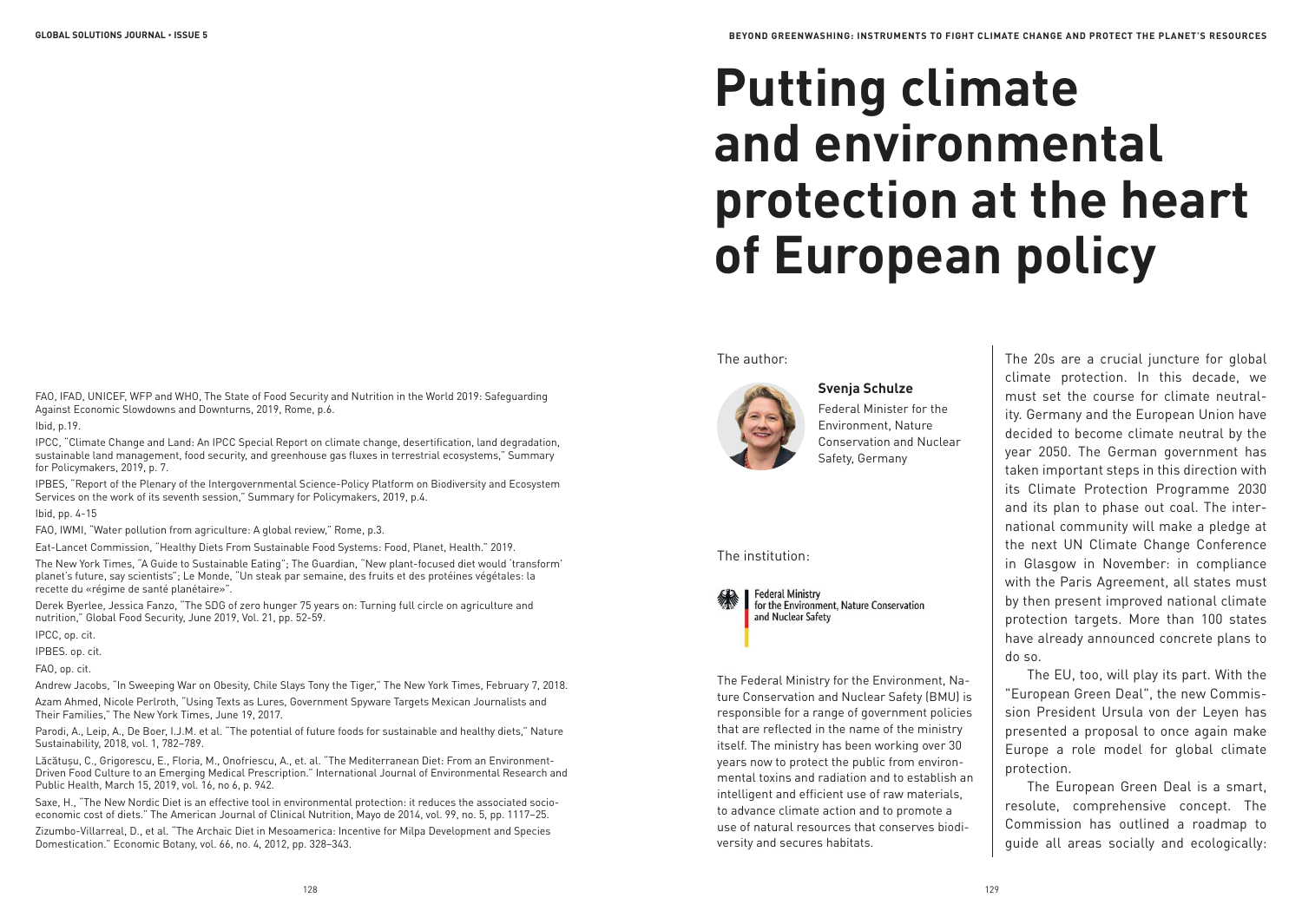# **Putting climate and environmental protection at the heart of European policy**

### The author:



**Svenja Schulze** Federal Minister for the Environment, Nature Conservation and Nuclear Safety, Germany

#### The institution:



**Federal Ministry** for the Environment. Nature Conservation and Nuclear Safety

The Federal Ministry for the Environment, Nature Conservation and Nuclear Safety (BMU) is responsible for a range of government policies that are reflected in the name of the ministry itself. The ministry has been working over 30 years now to protect the public from environmental toxins and radiation and to establish an intelligent and efficient use of raw materials, to advance climate action and to promote a use of natural resources that conserves biodiversity and secures habitats.

The 20s are a crucial juncture for global climate protection. In this decade, we must set the course for climate neutrality. Germany and the European Union have decided to become climate neutral by the year 2050. The German government has taken important steps in this direction with its Climate Protection Programme 2030 and its plan to phase out coal. The international community will make a pledge at the next UN Climate Change Conference in Glasgow in November: in compliance with the Paris Agreement, all states must by then present improved national climate protection targets. More than 100 states have already announced concrete plans to do so.

The EU, too, will play its part. With the "European Green Deal", the new Commission President Ursula von der Leyen has presented a proposal to once again make Europe a role model for global climate protection.

The European Green Deal is a smart, resolute, comprehensive concept. The Commission has outlined a roadmap to guide all areas socially and ecologically:

FAO, IFAD, UNICEF, WFP and WHO, The State of Food Security and Nutrition in the World 2019: Safeguarding Against Economic Slowdowns and Downturns, 2019, Rome, p.6.

#### Ibid, p.19.

IPCC, "Climate Change and Land: An IPCC Special Report on climate change, desertification, land degradation, sustainable land management, food security, and greenhouse gas fluxes in terrestrial ecosystems," Summary for Policymakers, 2019, p. 7.

IPBES, "Report of the Plenary of the Intergovernmental Science-Policy Platform on Biodiversity and Ecosystem Services on the work of its seventh session," Summary for Policymakers, 2019, p.4.

## Ibid, pp. 4-15

FAO, IWMI, "Water pollution from agriculture: A global review," Rome, p.3.

Eat-Lancet Commission, "Healthy Diets From Sustainable Food Systems: Food, Planet, Health." 2019.

The New York Times, "A Guide to Sustainable Eating"; The Guardian, "New plant-focused diet would 'transform' planet's future, say scientists"; Le Monde, "Un steak par semaine, des fruits et des protéines végétales: la recette du «régime de santé planétaire»".

Derek Byerlee, Jessica Fanzo, "The SDG of zero hunger 75 years on: Turning full circle on agriculture and nutrition," Global Food Security, June 2019, Vol. 21, pp. 52-59.

IPCC, op. cit.

IPBES. op. cit.

FAO, op. cit.

Andrew Jacobs, "In Sweeping War on Obesity, Chile Slays Tony the Tiger," The New York Times, February 7, 2018. Azam Ahmed, Nicole Perlroth, "Using Texts as Lures, Government Spyware Targets Mexican Journalists and Their Families," The New York Times, June 19, 2017.

Parodi, A., Leip, A., De Boer, I.J.M. et al. "The potential of future foods for sustainable and healthy diets," Nature Sustainability, 2018, vol. 1, 782–789.

Lăcătușu, C., Grigorescu, E., Floria, M., Onofriescu, A., et. al. "The Mediterranean Diet: From an Environment-Driven Food Culture to an Emerging Medical Prescription." International Journal of Environmental Research and Public Health, March 15, 2019, vol. 16, no 6, p. 942.

Saxe, H., "The New Nordic Diet is an effective tool in environmental protection: it reduces the associated socioeconomic cost of diets." The American Journal of Clinical Nutrition, Mayo de 2014, vol. 99, no. 5, pp. 1117–25.

Zizumbo-Villarreal, D., et al. "The Archaic Diet in Mesoamerica: Incentive for Milpa Development and Species Domestication." Economic Botany, vol. 66, no. 4, 2012, pp. 328–343.